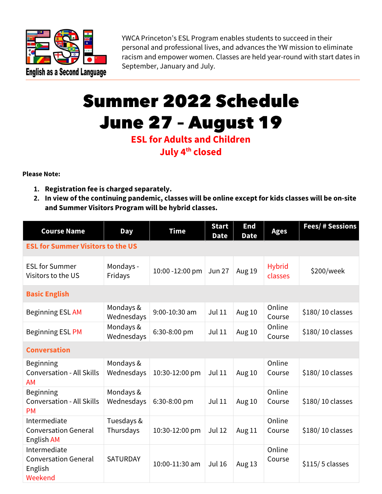

YWCA Princeton's ESL Program enables students to succeed in their personal and professional lives, and advances the YW mission to eliminate racism and empower women. Classes are held year-round with start dates in September, January and July.

## Summer 2022 Schedule June 27 – August 19

## **ESL for Adults and Children July 4th closed**

**Please Note:**

- **1. Registration fee is charged separately.**
- **2. In view of the continuing pandemic, classes will be online except for kids classes will be on-site and Summer Visitors Program will be hybrid classes.**

| <b>Course Name</b>                                                | <b>Day</b>              | <b>Time</b>     | <b>Start</b><br><b>Date</b> | <b>End</b><br><b>Date</b> | <b>Ages</b>              | Fees/ # Sessions |  |
|-------------------------------------------------------------------|-------------------------|-----------------|-----------------------------|---------------------------|--------------------------|------------------|--|
| <b>ESL for Summer Visitors to the US</b>                          |                         |                 |                             |                           |                          |                  |  |
| <b>ESL for Summer</b><br>Visitors to the US                       | Mondays -<br>Fridays    | 10:00 -12:00 pm | <b>Jun 27</b>               | Aug 19                    | <b>Hybrid</b><br>classes | \$200/week       |  |
| <b>Basic English</b>                                              |                         |                 |                             |                           |                          |                  |  |
| Beginning ESL AM                                                  | Mondays &<br>Wednesdays | 9:00-10:30 am   | <b>Jul 11</b>               | Aug 10                    | Online<br>Course         | \$180/10 classes |  |
| Beginning ESL PM                                                  | Mondays &<br>Wednesdays | 6:30-8:00 pm    | <b>Jul 11</b>               | Aug 10                    | Online<br>Course         | \$180/10 classes |  |
| <b>Conversation</b>                                               |                         |                 |                             |                           |                          |                  |  |
| Beginning<br><b>Conversation - All Skills</b><br><b>AM</b>        | Mondays &<br>Wednesdays | 10:30-12:00 pm  | <b>Jul 11</b>               | Aug 10                    | Online<br>Course         | \$180/10 classes |  |
| Beginning<br><b>Conversation - All Skills</b><br><b>PM</b>        | Mondays &<br>Wednesdays | 6:30-8:00 pm    | <b>Jul 11</b>               | Aug 10                    | Online<br>Course         | \$180/10 classes |  |
| Intermediate<br><b>Conversation General</b><br>English AM         | Tuesdays &<br>Thursdays | 10:30-12:00 pm  | <b>Jul 12</b>               | Aug 11                    | Online<br>Course         | \$180/10 classes |  |
| Intermediate<br><b>Conversation General</b><br>English<br>Weekend | <b>SATURDAY</b>         | 10:00-11:30 am  | <b>Jul 16</b>               | Aug 13                    | Online<br>Course         | \$115/5 classes  |  |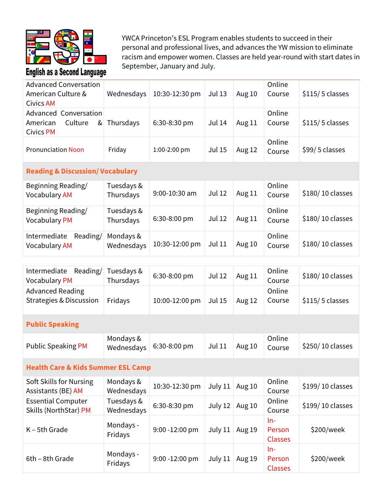

YWCA Princeton's ESL Program enables students to succeed in their personal and professional lives, and advances the YW mission to eliminate racism and empower women. Classes are held year-round with start dates in September, January and July.

| <b>Advanced Conversation</b><br>American Culture &<br><b>Civics AM</b> | Wednesdays              | 10:30-12:30 pm | <b>Jul 13</b> | Aug 10 | Online<br>Course | \$115/5 classes  |
|------------------------------------------------------------------------|-------------------------|----------------|---------------|--------|------------------|------------------|
| Advanced Conversation<br>Culture<br>American<br>&<br><b>Civics PM</b>  | Thursdays               | 6:30-8:30 pm   | <b>Jul 14</b> | Aug 11 | Online<br>Course | \$115/5 classes  |
| <b>Pronunciation Noon</b>                                              | Friday                  | 1:00-2:00 pm   | <b>Jul 15</b> | Aug 12 | Online<br>Course | \$99/5 classes   |
| <b>Reading &amp; Discussion/ Vocabulary</b>                            |                         |                |               |        |                  |                  |
| Beginning Reading/<br><b>Vocabulary AM</b>                             | Tuesdays &<br>Thursdays | 9:00-10:30 am  | <b>Jul 12</b> | Aug 11 | Online<br>Course | \$180/10 classes |
| Beginning Reading/<br><b>Vocabulary PM</b>                             | Tuesdays &<br>Thursdays | 6:30-8:00 pm   | <b>Jul 12</b> | Aug 11 | Online<br>Course | \$180/10 classes |
| Reading/<br>Intermediate<br><b>Vocabulary AM</b>                       | Mondays &<br>Wednesdays | 10:30-12:00 pm | <b>Jul 11</b> | Aug 10 | Online<br>Course | \$180/10 classes |
|                                                                        |                         |                |               |        |                  |                  |
| Intermediate<br>Reading/<br><b>Vocabulary PM</b>                       | Tuesdays &<br>Thursdays | 6:30-8:00 pm   | <b>Jul 12</b> | Aug 11 | Online<br>Course | \$180/10 classes |
| <b>Advanced Reading</b><br><b>Strategies &amp; Discussion</b>          | Fridays                 | 10:00-12:00 pm | <b>Jul 15</b> | Aug 12 | Online<br>Course | \$115/5 classes  |
| <b>Public Speaking</b>                                                 |                         |                |               |        |                  |                  |
| <b>Public Speaking PM</b>                                              | Mondays &<br>Wednesdays | 6:30-8:00 pm   | <b>Jul 11</b> | Aug 10 | Online<br>Course | \$250/10 classes |

## **Health Care & Kids Summer ESL Camp**

| Soft Skills for Nursing<br>Assistants (BE) AM      | Mondays &<br>Wednesdays  | 10:30-12:30 pm    | July 11 | Aug 10 | Online<br>Course                | \$199/10 classes |
|----------------------------------------------------|--------------------------|-------------------|---------|--------|---------------------------------|------------------|
| <b>Essential Computer</b><br>Skills (NorthStar) PM | Tuesdays &<br>Wednesdays | 6:30-8:30 pm      | July 12 | Aug 10 | Online<br>Course                | \$199/10 classes |
| $K - 5th$ Grade                                    | Mondays -<br>Fridays     | 9:00 -12:00 pm    | July 11 | Aug 19 | In-<br>Person<br><b>Classes</b> | \$200/week       |
| 6th - 8th Grade                                    | Mondays -<br>Fridays     | $9:00 - 12:00$ pm | July 11 | Aug 19 | In-<br>Person<br><b>Classes</b> | \$200/week       |